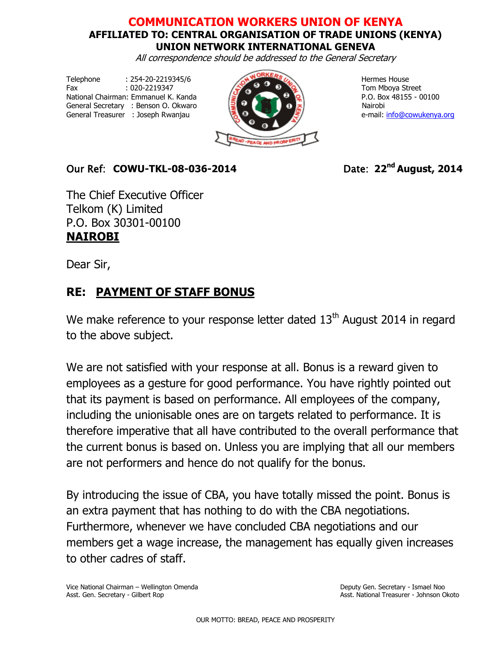## **COMMUNICATION WORKERS UNION OF KENYA AFFILIATED TO: CENTRAL ORGANISATION OF TRADE UNIONS (KENYA) UNION NETWORK INTERNATIONAL GENEVA**

All correspondence should be addressed to the General Secretary

Telephone : 254-20-2219345/6 Hermes House Fax  $.020-2219347$   $.020-2219347$   $.020-2219347$   $.020-2219347$   $.020-2219347$   $.020-2219347$   $.020-2219347$   $.020-2219347$   $.020-2219347$   $.020-2219347$   $.020-2219347$   $.020-2219347$   $.020-2219347$   $.020-2219347$   $.020-2$ National Chairman: Emmanuel K. Kanda  $\sqrt{2}$  P.O. Box 48155 - 00100 General Secretary : Benson O. Okwaro National National National National National National National National N General Treasurer : Joseph Rwanjau **e-mail: [info@cowukenya.org](mailto:info@cowukenya.org)** 



## Our Ref: **COWU-TKL-08-036-2014** Date: **22nd August, 2014**

The Chief Executive Officer Telkom (K) Limited P.O. Box 30301-00100 **NAIROBI**

Dear Sir,

## **RE: PAYMENT OF STAFF BONUS**

We make reference to your response letter dated  $13<sup>th</sup>$  August 2014 in regard to the above subject.

We are not satisfied with your response at all. Bonus is a reward given to employees as a gesture for good performance. You have rightly pointed out that its payment is based on performance. All employees of the company, including the unionisable ones are on targets related to performance. It is therefore imperative that all have contributed to the overall performance that the current bonus is based on. Unless you are implying that all our members are not performers and hence do not qualify for the bonus.

By introducing the issue of CBA, you have totally missed the point. Bonus is an extra payment that has nothing to do with the CBA negotiations. Furthermore, whenever we have concluded CBA negotiations and our members get a wage increase, the management has equally given increases to other cadres of staff.